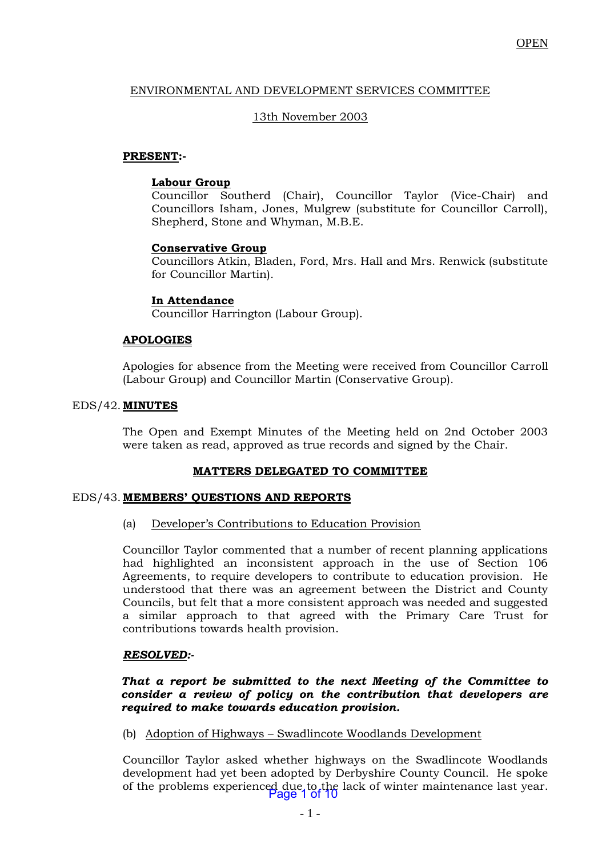# ENVIRONMENTAL AND DEVELOPMENT SERVICES COMMITTEE

# 13th November 2003

# **PRESENT:-**

### **Labour Group**

Councillor Southerd (Chair), Councillor Taylor (Vice-Chair) and Councillors Isham, Jones, Mulgrew (substitute for Councillor Carroll), Shepherd, Stone and Whyman, M.B.E.

# **Conservative Group**

Councillors Atkin, Bladen, Ford, Mrs. Hall and Mrs. Renwick (substitute for Councillor Martin).

# **In Attendance**

Councillor Harrington (Labour Group).

#### **APOLOGIES**

Apologies for absence from the Meeting were received from Councillor Carroll (Labour Group) and Councillor Martin (Conservative Group).

#### EDS/42. **MINUTES**

The Open and Exempt Minutes of the Meeting held on 2nd October 2003 were taken as read, approved as true records and signed by the Chair.

# **MATTERS DELEGATED TO COMMITTEE**

#### EDS/43. **MEMBERS' QUESTIONS AND REPORTS**

(a) Developer's Contributions to Education Provision

Councillor Taylor commented that a number of recent planning applications had highlighted an inconsistent approach in the use of Section 106 Agreements, to require developers to contribute to education provision. He understood that there was an agreement between the District and County Councils, but felt that a more consistent approach was needed and suggested a similar approach to that agreed with the Primary Care Trust for contributions towards health provision.

#### *RESOLVED:-*

### *That a report be submitted to the next Meeting of the Committee to consider a review of policy on the contribution that developers are required to make towards education provision.*

# (b) Adoption of Highways – Swadlincote Woodlands Development

Councillor Taylor asked whether highways on the Swadlincote Woodlands development had yet been adopted by Derbyshire County Council. He spoke of the problems experienced due to the lack of winter maintenance last year. Page 1 of 10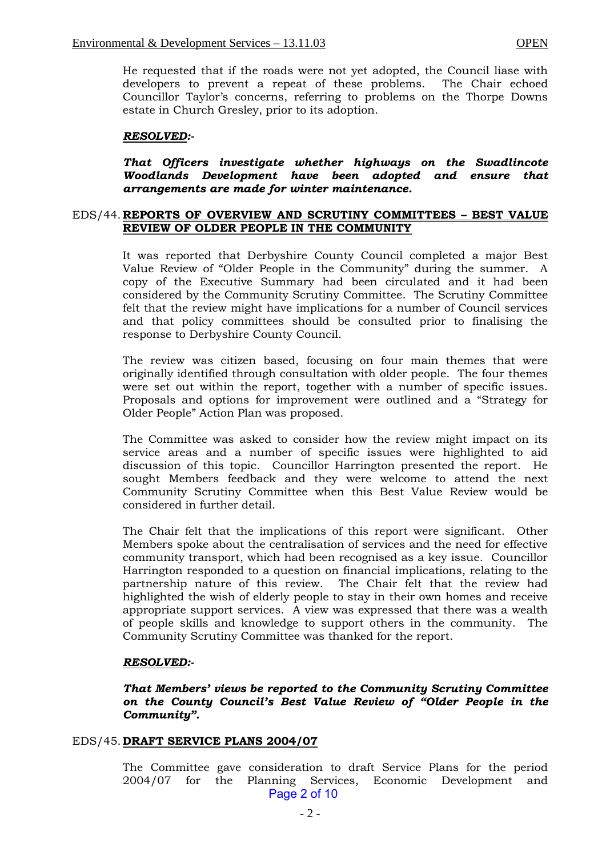He requested that if the roads were not yet adopted, the Council liase with developers to prevent a repeat of these problems. The Chair echoed Councillor Taylor's concerns, referring to problems on the Thorpe Downs estate in Church Gresley, prior to its adoption.

#### *RESOLVED:-*

*That Officers investigate whether highways on the Swadlincote Woodlands Development have been adopted and ensure that arrangements are made for winter maintenance.*

#### EDS/44. **REPORTS OF OVERVIEW AND SCRUTINY COMMITTEES – BEST VALUE REVIEW OF OLDER PEOPLE IN THE COMMUNITY**

It was reported that Derbyshire County Council completed a major Best Value Review of "Older People in the Community" during the summer. A copy of the Executive Summary had been circulated and it had been considered by the Community Scrutiny Committee. The Scrutiny Committee felt that the review might have implications for a number of Council services and that policy committees should be consulted prior to finalising the response to Derbyshire County Council.

The review was citizen based, focusing on four main themes that were originally identified through consultation with older people. The four themes were set out within the report, together with a number of specific issues. Proposals and options for improvement were outlined and a "Strategy for Older People" Action Plan was proposed.

The Committee was asked to consider how the review might impact on its service areas and a number of specific issues were highlighted to aid discussion of this topic. Councillor Harrington presented the report. He sought Members feedback and they were welcome to attend the next Community Scrutiny Committee when this Best Value Review would be considered in further detail.

The Chair felt that the implications of this report were significant. Other Members spoke about the centralisation of services and the need for effective community transport, which had been recognised as a key issue. Councillor Harrington responded to a question on financial implications, relating to the partnership nature of this review. The Chair felt that the review had highlighted the wish of elderly people to stay in their own homes and receive appropriate support services. A view was expressed that there was a wealth of people skills and knowledge to support others in the community. The Community Scrutiny Committee was thanked for the report.

#### *RESOLVED:-*

*That Members' views be reported to the Community Scrutiny Committee on the County Council's Best Value Review of "Older People in the Community".*

#### EDS/45. **DRAFT SERVICE PLANS 2004/07**

The Committee gave consideration to draft Service Plans for the period 2004/07 for the Planning Services, Economic Development and Page 2 of 10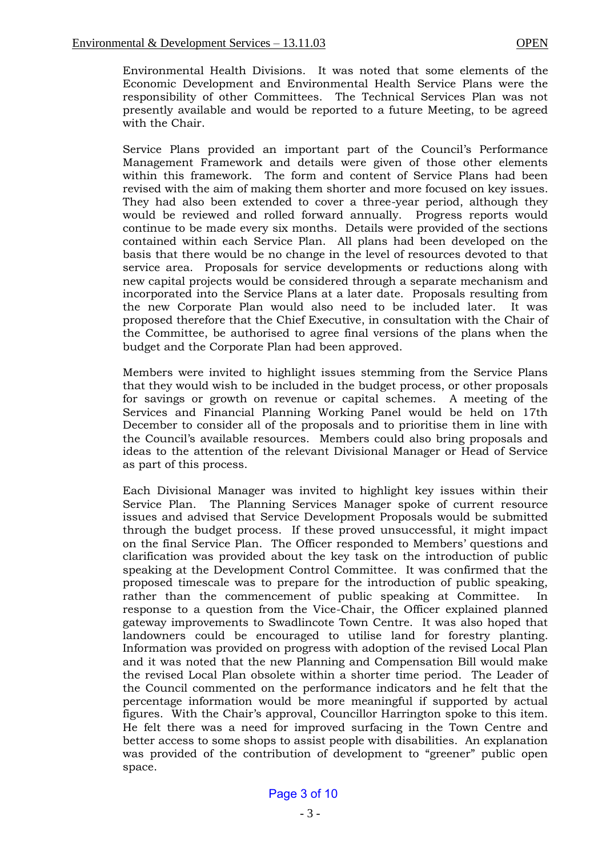Environmental Health Divisions. It was noted that some elements of the Economic Development and Environmental Health Service Plans were the responsibility of other Committees. The Technical Services Plan was not presently available and would be reported to a future Meeting, to be agreed with the Chair.

Service Plans provided an important part of the Council's Performance Management Framework and details were given of those other elements within this framework. The form and content of Service Plans had been revised with the aim of making them shorter and more focused on key issues. They had also been extended to cover a three-year period, although they would be reviewed and rolled forward annually. Progress reports would continue to be made every six months. Details were provided of the sections contained within each Service Plan. All plans had been developed on the basis that there would be no change in the level of resources devoted to that service area. Proposals for service developments or reductions along with new capital projects would be considered through a separate mechanism and incorporated into the Service Plans at a later date. Proposals resulting from the new Corporate Plan would also need to be included later. It was proposed therefore that the Chief Executive, in consultation with the Chair of the Committee, be authorised to agree final versions of the plans when the budget and the Corporate Plan had been approved.

Members were invited to highlight issues stemming from the Service Plans that they would wish to be included in the budget process, or other proposals for savings or growth on revenue or capital schemes. A meeting of the Services and Financial Planning Working Panel would be held on 17th December to consider all of the proposals and to prioritise them in line with the Council's available resources. Members could also bring proposals and ideas to the attention of the relevant Divisional Manager or Head of Service as part of this process.

Each Divisional Manager was invited to highlight key issues within their Service Plan. The Planning Services Manager spoke of current resource issues and advised that Service Development Proposals would be submitted through the budget process. If these proved unsuccessful, it might impact on the final Service Plan. The Officer responded to Members' questions and clarification was provided about the key task on the introduction of public speaking at the Development Control Committee. It was confirmed that the proposed timescale was to prepare for the introduction of public speaking, rather than the commencement of public speaking at Committee. In response to a question from the Vice-Chair, the Officer explained planned gateway improvements to Swadlincote Town Centre. It was also hoped that landowners could be encouraged to utilise land for forestry planting. Information was provided on progress with adoption of the revised Local Plan and it was noted that the new Planning and Compensation Bill would make the revised Local Plan obsolete within a shorter time period. The Leader of the Council commented on the performance indicators and he felt that the percentage information would be more meaningful if supported by actual figures. With the Chair's approval, Councillor Harrington spoke to this item. He felt there was a need for improved surfacing in the Town Centre and better access to some shops to assist people with disabilities. An explanation was provided of the contribution of development to "greener" public open space.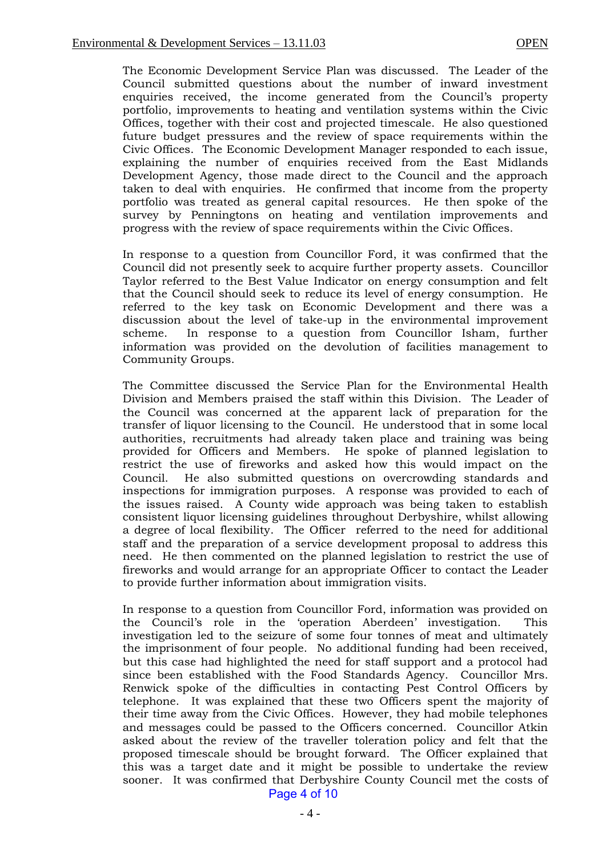The Economic Development Service Plan was discussed. The Leader of the Council submitted questions about the number of inward investment enquiries received, the income generated from the Council's property portfolio, improvements to heating and ventilation systems within the Civic Offices, together with their cost and projected timescale. He also questioned future budget pressures and the review of space requirements within the Civic Offices. The Economic Development Manager responded to each issue, explaining the number of enquiries received from the East Midlands Development Agency, those made direct to the Council and the approach taken to deal with enquiries. He confirmed that income from the property portfolio was treated as general capital resources. He then spoke of the survey by Penningtons on heating and ventilation improvements and progress with the review of space requirements within the Civic Offices.

In response to a question from Councillor Ford, it was confirmed that the Council did not presently seek to acquire further property assets. Councillor Taylor referred to the Best Value Indicator on energy consumption and felt that the Council should seek to reduce its level of energy consumption. He referred to the key task on Economic Development and there was a discussion about the level of take-up in the environmental improvement scheme. In response to a question from Councillor Isham, further information was provided on the devolution of facilities management to Community Groups.

The Committee discussed the Service Plan for the Environmental Health Division and Members praised the staff within this Division. The Leader of the Council was concerned at the apparent lack of preparation for the transfer of liquor licensing to the Council. He understood that in some local authorities, recruitments had already taken place and training was being provided for Officers and Members. He spoke of planned legislation to restrict the use of fireworks and asked how this would impact on the Council. He also submitted questions on overcrowding standards and inspections for immigration purposes. A response was provided to each of the issues raised. A County wide approach was being taken to establish consistent liquor licensing guidelines throughout Derbyshire, whilst allowing a degree of local flexibility. The Officer referred to the need for additional staff and the preparation of a service development proposal to address this need. He then commented on the planned legislation to restrict the use of fireworks and would arrange for an appropriate Officer to contact the Leader to provide further information about immigration visits.

In response to a question from Councillor Ford, information was provided on the Council's role in the 'operation Aberdeen' investigation. This investigation led to the seizure of some four tonnes of meat and ultimately the imprisonment of four people. No additional funding had been received, but this case had highlighted the need for staff support and a protocol had since been established with the Food Standards Agency. Councillor Mrs. Renwick spoke of the difficulties in contacting Pest Control Officers by telephone. It was explained that these two Officers spent the majority of their time away from the Civic Offices. However, they had mobile telephones and messages could be passed to the Officers concerned. Councillor Atkin asked about the review of the traveller toleration policy and felt that the proposed timescale should be brought forward. The Officer explained that this was a target date and it might be possible to undertake the review sooner. It was confirmed that Derbyshire County Council met the costs of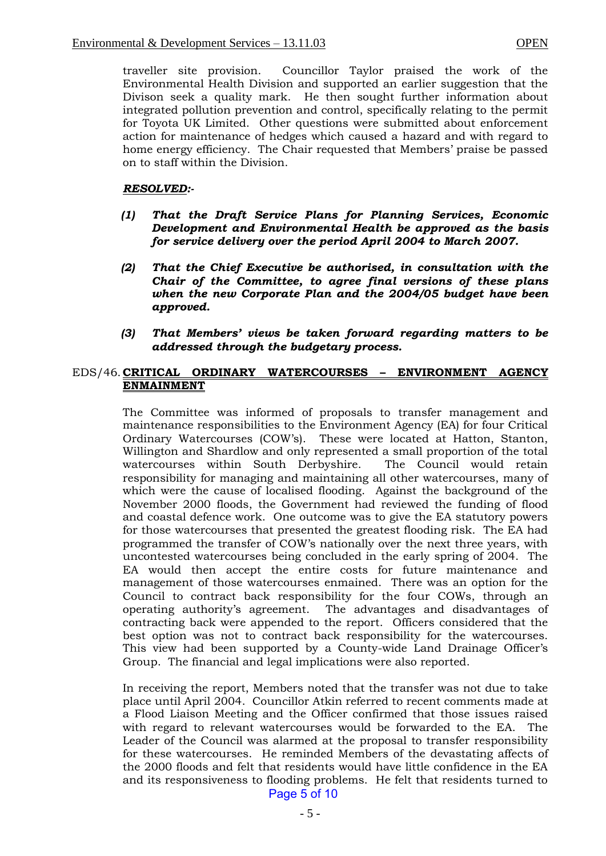traveller site provision. Councillor Taylor praised the work of the Environmental Health Division and supported an earlier suggestion that the Divison seek a quality mark. He then sought further information about integrated pollution prevention and control, specifically relating to the permit for Toyota UK Limited. Other questions were submitted about enforcement action for maintenance of hedges which caused a hazard and with regard to home energy efficiency. The Chair requested that Members' praise be passed on to staff within the Division.

#### *RESOLVED:-*

- *(1) That the Draft Service Plans for Planning Services, Economic Development and Environmental Health be approved as the basis for service delivery over the period April 2004 to March 2007.*
- *(2) That the Chief Executive be authorised, in consultation with the Chair of the Committee, to agree final versions of these plans when the new Corporate Plan and the 2004/05 budget have been approved.*
- *(3) That Members' views be taken forward regarding matters to be addressed through the budgetary process.*

# EDS/46. **CRITICAL ORDINARY WATERCOURSES – ENVIRONMENT AGENCY ENMAINMENT**

The Committee was informed of proposals to transfer management and maintenance responsibilities to the Environment Agency (EA) for four Critical Ordinary Watercourses (COW's). These were located at Hatton, Stanton, Willington and Shardlow and only represented a small proportion of the total watercourses within South Derbyshire. The Council would retain responsibility for managing and maintaining all other watercourses, many of which were the cause of localised flooding. Against the background of the November 2000 floods, the Government had reviewed the funding of flood and coastal defence work. One outcome was to give the EA statutory powers for those watercourses that presented the greatest flooding risk. The EA had programmed the transfer of COW's nationally over the next three years, with uncontested watercourses being concluded in the early spring of 2004. The EA would then accept the entire costs for future maintenance and management of those watercourses enmained. There was an option for the Council to contract back responsibility for the four COWs, through an operating authority's agreement. The advantages and disadvantages of contracting back were appended to the report. Officers considered that the best option was not to contract back responsibility for the watercourses. This view had been supported by a County-wide Land Drainage Officer's Group. The financial and legal implications were also reported.

In receiving the report, Members noted that the transfer was not due to take place until April 2004. Councillor Atkin referred to recent comments made at a Flood Liaison Meeting and the Officer confirmed that those issues raised with regard to relevant watercourses would be forwarded to the EA. The Leader of the Council was alarmed at the proposal to transfer responsibility for these watercourses. He reminded Members of the devastating affects of the 2000 floods and felt that residents would have little confidence in the EA and its responsiveness to flooding problems. He felt that residents turned to Page 5 of 10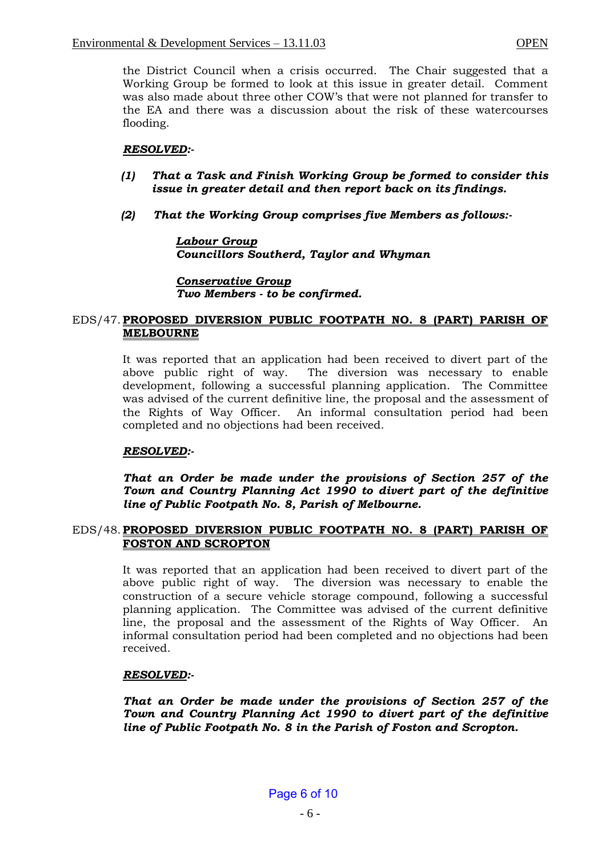the District Council when a crisis occurred. The Chair suggested that a Working Group be formed to look at this issue in greater detail. Comment was also made about three other COW's that were not planned for transfer to the EA and there was a discussion about the risk of these watercourses flooding.

# *RESOLVED:-*

- *(1) That a Task and Finish Working Group be formed to consider this issue in greater detail and then report back on its findings.*
- *(2) That the Working Group comprises five Members as follows:-*

# *Labour Group Councillors Southerd, Taylor and Whyman*

*Conservative Group Two Members - to be confirmed.*

### EDS/47.**PROPOSED DIVERSION PUBLIC FOOTPATH NO. 8 (PART) PARISH OF MELBOURNE**

It was reported that an application had been received to divert part of the above public right of way. The diversion was necessary to enable development, following a successful planning application. The Committee was advised of the current definitive line, the proposal and the assessment of the Rights of Way Officer. An informal consultation period had been completed and no objections had been received.

# *RESOLVED:-*

*That an Order be made under the provisions of Section 257 of the Town and Country Planning Act 1990 to divert part of the definitive line of Public Footpath No. 8, Parish of Melbourne.*

# EDS/48.**PROPOSED DIVERSION PUBLIC FOOTPATH NO. 8 (PART) PARISH OF FOSTON AND SCROPTON**

It was reported that an application had been received to divert part of the above public right of way. The diversion was necessary to enable the construction of a secure vehicle storage compound, following a successful planning application. The Committee was advised of the current definitive line, the proposal and the assessment of the Rights of Way Officer. An informal consultation period had been completed and no objections had been received.

# *RESOLVED:-*

*That an Order be made under the provisions of Section 257 of the Town and Country Planning Act 1990 to divert part of the definitive line of Public Footpath No. 8 in the Parish of Foston and Scropton.*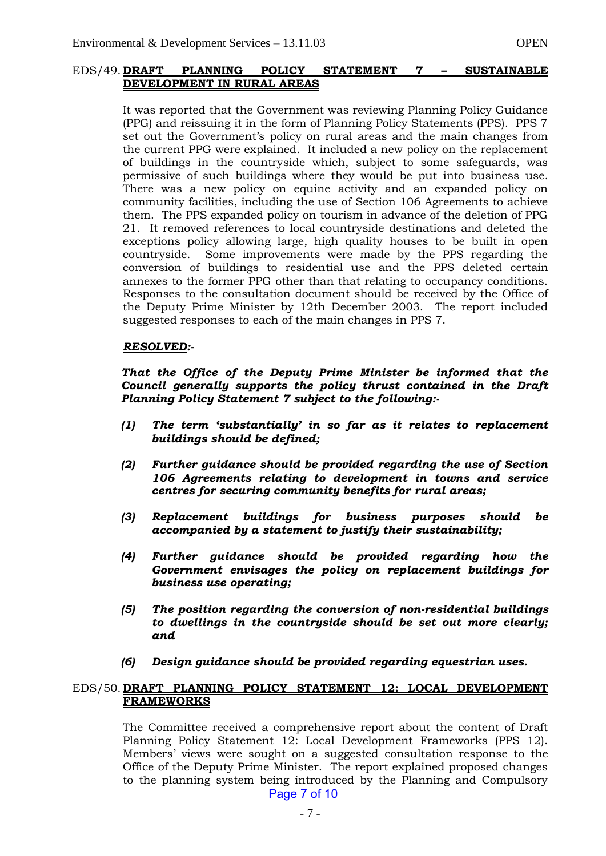#### EDS/49. **DRAFT PLANNING POLICY STATEMENT 7 – SUSTAINABLE DEVELOPMENT IN RURAL AREAS**

It was reported that the Government was reviewing Planning Policy Guidance (PPG) and reissuing it in the form of Planning Policy Statements (PPS). PPS 7 set out the Government's policy on rural areas and the main changes from the current PPG were explained. It included a new policy on the replacement of buildings in the countryside which, subject to some safeguards, was permissive of such buildings where they would be put into business use. There was a new policy on equine activity and an expanded policy on community facilities, including the use of Section 106 Agreements to achieve them. The PPS expanded policy on tourism in advance of the deletion of PPG 21. It removed references to local countryside destinations and deleted the exceptions policy allowing large, high quality houses to be built in open countryside. Some improvements were made by the PPS regarding the conversion of buildings to residential use and the PPS deleted certain annexes to the former PPG other than that relating to occupancy conditions. Responses to the consultation document should be received by the Office of the Deputy Prime Minister by 12th December 2003. The report included suggested responses to each of the main changes in PPS 7.

#### *RESOLVED:-*

*That the Office of the Deputy Prime Minister be informed that the Council generally supports the policy thrust contained in the Draft Planning Policy Statement 7 subject to the following:-*

- *(1) The term 'substantially' in so far as it relates to replacement buildings should be defined;*
- *(2) Further guidance should be provided regarding the use of Section 106 Agreements relating to development in towns and service centres for securing community benefits for rural areas;*
- *(3) Replacement buildings for business purposes should be accompanied by a statement to justify their sustainability;*
- *(4) Further guidance should be provided regarding how the Government envisages the policy on replacement buildings for business use operating;*
- *(5) The position regarding the conversion of non-residential buildings to dwellings in the countryside should be set out more clearly; and*
- *(6) Design guidance should be provided regarding equestrian uses.*

#### EDS/50. **DRAFT PLANNING POLICY STATEMENT 12: LOCAL DEVELOPMENT FRAMEWORKS**

The Committee received a comprehensive report about the content of Draft Planning Policy Statement 12: Local Development Frameworks (PPS 12). Members' views were sought on a suggested consultation response to the Office of the Deputy Prime Minister. The report explained proposed changes to the planning system being introduced by the Planning and Compulsory Page 7 of 10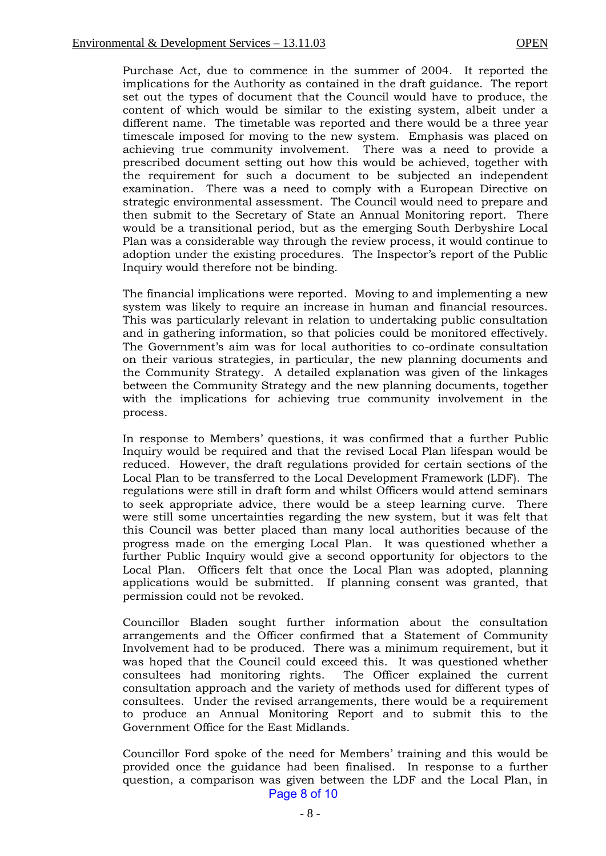Purchase Act, due to commence in the summer of 2004. It reported the implications for the Authority as contained in the draft guidance. The report set out the types of document that the Council would have to produce, the content of which would be similar to the existing system, albeit under a different name. The timetable was reported and there would be a three year timescale imposed for moving to the new system. Emphasis was placed on achieving true community involvement. There was a need to provide a prescribed document setting out how this would be achieved, together with the requirement for such a document to be subjected an independent examination. There was a need to comply with a European Directive on strategic environmental assessment. The Council would need to prepare and then submit to the Secretary of State an Annual Monitoring report. There would be a transitional period, but as the emerging South Derbyshire Local Plan was a considerable way through the review process, it would continue to adoption under the existing procedures. The Inspector's report of the Public Inquiry would therefore not be binding.

The financial implications were reported. Moving to and implementing a new system was likely to require an increase in human and financial resources. This was particularly relevant in relation to undertaking public consultation and in gathering information, so that policies could be monitored effectively. The Government's aim was for local authorities to co-ordinate consultation on their various strategies, in particular, the new planning documents and the Community Strategy. A detailed explanation was given of the linkages between the Community Strategy and the new planning documents, together with the implications for achieving true community involvement in the process.

In response to Members' questions, it was confirmed that a further Public Inquiry would be required and that the revised Local Plan lifespan would be reduced. However, the draft regulations provided for certain sections of the Local Plan to be transferred to the Local Development Framework (LDF). The regulations were still in draft form and whilst Officers would attend seminars to seek appropriate advice, there would be a steep learning curve. There were still some uncertainties regarding the new system, but it was felt that this Council was better placed than many local authorities because of the progress made on the emerging Local Plan. It was questioned whether a further Public Inquiry would give a second opportunity for objectors to the Local Plan. Officers felt that once the Local Plan was adopted, planning applications would be submitted. If planning consent was granted, that permission could not be revoked.

Councillor Bladen sought further information about the consultation arrangements and the Officer confirmed that a Statement of Community Involvement had to be produced. There was a minimum requirement, but it was hoped that the Council could exceed this. It was questioned whether consultees had monitoring rights. The Officer explained the current consultation approach and the variety of methods used for different types of consultees. Under the revised arrangements, there would be a requirement to produce an Annual Monitoring Report and to submit this to the Government Office for the East Midlands.

Councillor Ford spoke of the need for Members' training and this would be provided once the guidance had been finalised. In response to a further question, a comparison was given between the LDF and the Local Plan, in Page 8 of 10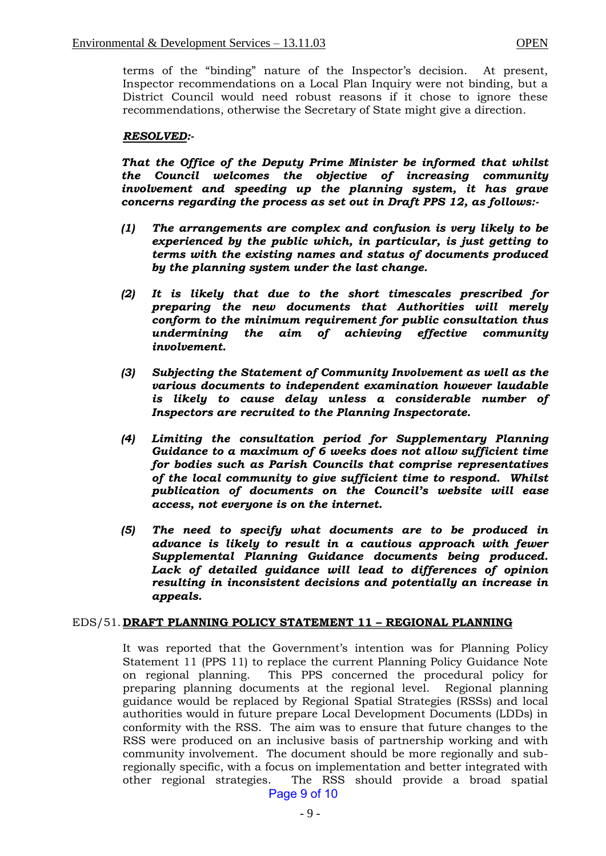terms of the "binding" nature of the Inspector's decision. At present, Inspector recommendations on a Local Plan Inquiry were not binding, but a District Council would need robust reasons if it chose to ignore these recommendations, otherwise the Secretary of State might give a direction.

#### *RESOLVED:-*

*That the Office of the Deputy Prime Minister be informed that whilst the Council welcomes the objective of increasing community involvement and speeding up the planning system, it has grave concerns regarding the process as set out in Draft PPS 12, as follows:-*

- *(1) The arrangements are complex and confusion is very likely to be experienced by the public which, in particular, is just getting to terms with the existing names and status of documents produced by the planning system under the last change.*
- *(2) It is likely that due to the short timescales prescribed for preparing the new documents that Authorities will merely conform to the minimum requirement for public consultation thus undermining the aim of achieving effective community involvement.*
- *(3) Subjecting the Statement of Community Involvement as well as the various documents to independent examination however laudable is likely to cause delay unless a considerable number of Inspectors are recruited to the Planning Inspectorate.*
- *(4) Limiting the consultation period for Supplementary Planning Guidance to a maximum of 6 weeks does not allow sufficient time for bodies such as Parish Councils that comprise representatives of the local community to give sufficient time to respond. Whilst publication of documents on the Council's website will ease access, not everyone is on the internet.*
- *(5) The need to specify what documents are to be produced in advance is likely to result in a cautious approach with fewer Supplemental Planning Guidance documents being produced. Lack of detailed guidance will lead to differences of opinion resulting in inconsistent decisions and potentially an increase in appeals.*

#### EDS/51. **DRAFT PLANNING POLICY STATEMENT 11 – REGIONAL PLANNING**

It was reported that the Government's intention was for Planning Policy Statement 11 (PPS 11) to replace the current Planning Policy Guidance Note on regional planning. This PPS concerned the procedural policy for preparing planning documents at the regional level. Regional planning guidance would be replaced by Regional Spatial Strategies (RSSs) and local authorities would in future prepare Local Development Documents (LDDs) in conformity with the RSS. The aim was to ensure that future changes to the RSS were produced on an inclusive basis of partnership working and with community involvement. The document should be more regionally and subregionally specific, with a focus on implementation and better integrated with other regional strategies. The RSS should provide a broad spatial Page 9 of 10